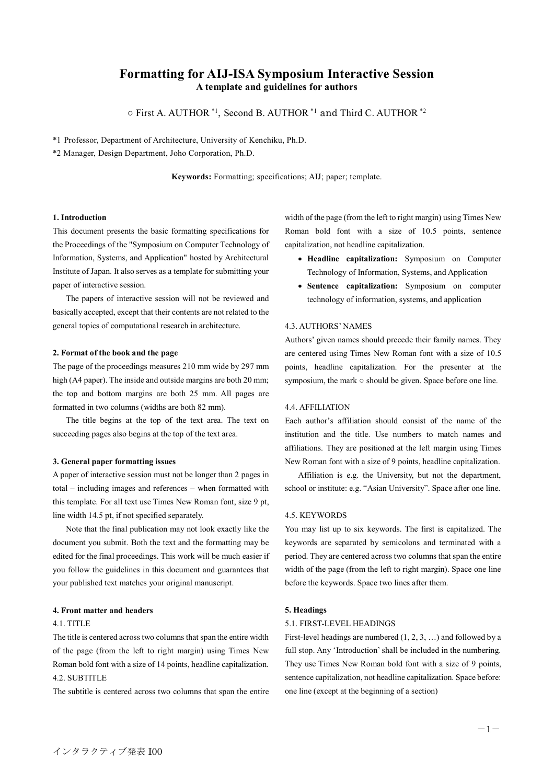# **Formatting for AIJ-ISA Symposium Interactive Session A template and guidelines for authors**

○ First A. AUTHOR \*1 , Second B. AUTHOR \*1 and Third C. AUTHOR \*2

\*1 Professor, Department of Architecture, University of Kenchiku, Ph.D.

\*2 Manager, Design Department, Joho Corporation, Ph.D.

**Keywords:** Formatting; specifications; AIJ; paper; template.

### **1. Introduction**

This document presents the basic formatting specifications for the Proceedings of the "Symposium on Computer Technology of Information, Systems, and Application" hosted by Architectural Institute of Japan. It also serves as a template for submitting your paper of interactive session.

The papers of interactive session will not be reviewed and basically accepted, except that their contents are not related to the general topics of computational research in architecture.

### **2. Format of the book and the page**

The page of the proceedings measures 210 mm wide by 297 mm high (A4 paper). The inside and outside margins are both 20 mm; the top and bottom margins are both 25 mm. All pages are formatted in two columns (widths are both 82 mm).

The title begins at the top of the text area. The text on succeeding pages also begins at the top of the text area.

#### **3. General paper formatting issues**

A paper of interactive session must not be longer than 2 pages in total – including images and references – when formatted with this template. For all text use Times New Roman font, size 9 pt, line width 14.5 pt, if not specified separately.

Note that the final publication may not look exactly like the document you submit. Both the text and the formatting may be edited for the final proceedings. This work will be much easier if you follow the guidelines in this document and guarantees that your published text matches your original manuscript.

# **4. Front matter and headers**

#### 4.1. TITLE

The title is centered across two columns that span the entire width of the page (from the left to right margin) using Times New Roman bold font with a size of 14 points, headline capitalization. 4.2. SUBTITLE

The subtitle is centered across two columns that span the entire

width of the page (from the left to right margin) using Times New Roman bold font with a size of 10.5 points, sentence capitalization, not headline capitalization.

- **Headline capitalization:** Symposium on Computer Technology of Information, Systems, and Application
- **Sentence capitalization:** Symposium on computer technology of information, systems, and application

#### 4.3. AUTHORS' NAMES

Authors' given names should precede their family names. They are centered using Times New Roman font with a size of 10.5 points, headline capitalization. For the presenter at the symposium, the mark ○ should be given. Space before one line.

### 4.4. AFFILIATION

Each author's affiliation should consist of the name of the institution and the title. Use numbers to match names and affiliations. They are positioned at the left margin using Times New Roman font with a size of 9 points, headline capitalization.

Affiliation is e.g. the University, but not the department, school or institute: e.g. "Asian University". Space after one line.

## 4.5. KEYWORDS

You may list up to six keywords. The first is capitalized. The keywords are separated by semicolons and terminated with a period. They are centered across two columns that span the entire width of the page (from the left to right margin). Space one line before the keywords. Space two lines after them.

#### **5. Headings**

#### 5.1. FIRST-LEVEL HEADINGS

First-level headings are numbered (1, 2, 3, …) and followed by a full stop. Any 'Introduction' shall be included in the numbering. They use Times New Roman bold font with a size of 9 points, sentence capitalization, not headline capitalization. Space before: one line (except at the beginning of a section)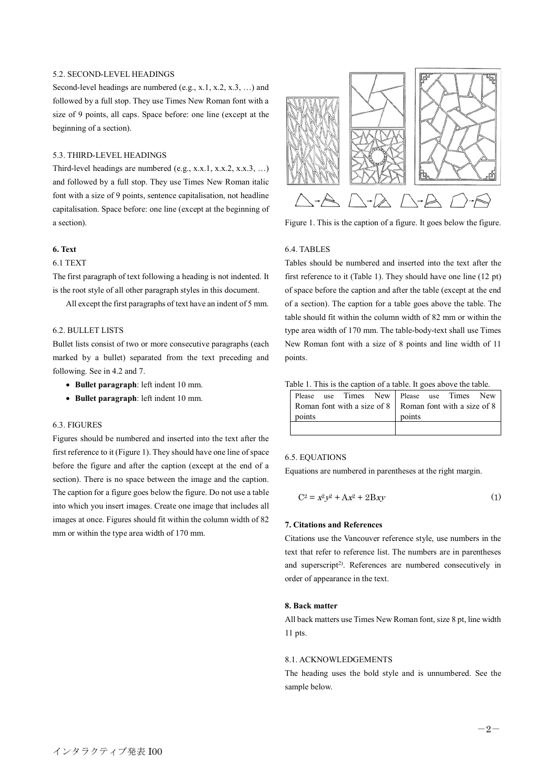### 5.2. SECOND-LEVEL HEADINGS

Second-level headings are numbered (e.g., x.1, x.2, x.3, ...) and followed by a full stop. They use Times New Roman font with a size of 9 points, all caps. Space before: one line (except at the beginning of a section).

# 5.3. THIRD-LEVEL HEADINGS

Third-level headings are numbered (e.g., x.x.1, x.x.2, x.x.3, …) and followed by a full stop. They use Times New Roman italic font with a size of 9 points, sentence capitalisation, not headline capitalisation. Space before: one line (except at the beginning of a section).

# **6. Text**

# 6.1 TEXT

The first paragraph of text following a heading is not indented. It is the root style of all other paragraph styles in this document.

All except the first paragraphs of text have an indent of 5 mm.

## 6.2. BULLET LISTS

Bullet lists consist of two or more consecutive paragraphs (each marked by a bullet) separated from the text preceding and following. See in 4.2 and 7.

- **Bullet paragraph**: left indent 10 mm.
- **Bullet paragraph**: left indent 10 mm.

# 6.3. FIGURES

Figures should be numbered and inserted into the text after the first reference to it (Figure 1). They should have one line of space before the figure and after the caption (except at the end of a section). There is no space between the image and the caption. The caption for a figure goes below the figure. Do not use a table into which you insert images. Create one image that includes all images at once. Figures should fit within the column width of 82 mm or within the type area width of 170 mm.



Figure 1. This is the caption of a figure. It goes below the figure.

# 6.4. TABLES

Tables should be numbered and inserted into the text after the first reference to it (Table 1). They should have one line (12 pt) of space before the caption and after the table (except at the end of a section). The caption for a table goes above the table. The table should fit within the column width of 82 mm or within the type area width of 170 mm. The table-body-text shall use Times New Roman font with a size of 8 points and line width of 11 points.

#### Table 1. This is the caption of a table. It goes above the table.

| Please use Times New Please use Times New                             |        |
|-----------------------------------------------------------------------|--------|
| Roman font with a size of $8 \mid$ Roman font with a size of $8 \mid$ |        |
| points                                                                | points |
|                                                                       |        |

### 6.5. EQUATIONS

Equations are numbered in parentheses at the right margin.

$$
C^2 = x^2 y^2 + Ax^2 + 2Bxy \tag{1}
$$

### **7. Citations and References**

Citations use the Vancouver reference style, use numbers in the text that refer to reference list. The numbers are in parentheses and superscript<sup>2)</sup>. References are numbered consecutively in order of appearance in the text.

### **8. Back matter**

All back matters use Times New Roman font, size 8 pt, line width 11 pts.

# 8.1. ACKNOWLEDGEMENTS

The heading uses the bold style and is unnumbered. See the sample below.